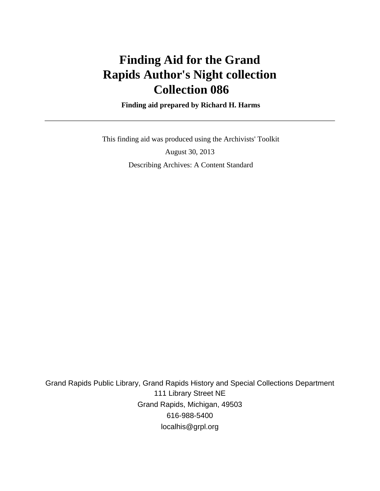# **Finding Aid for the Grand Rapids Author's Night collection Collection 086**

 **Finding aid prepared by Richard H. Harms**

 This finding aid was produced using the Archivists' Toolkit August 30, 2013 Describing Archives: A Content Standard

Grand Rapids Public Library, Grand Rapids History and Special Collections Department 111 Library Street NE Grand Rapids, Michigan, 49503 616-988-5400 localhis@grpl.org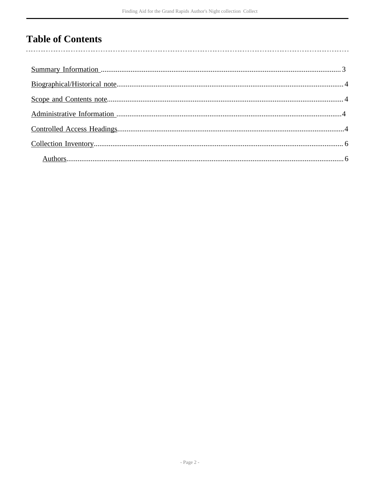# **Table of Contents**

 $\overline{\phantom{a}}$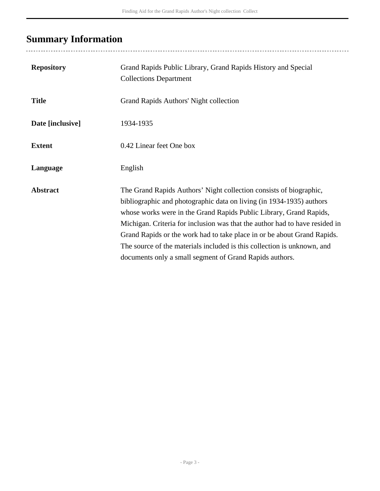# <span id="page-2-0"></span>**Summary Information**

| <b>Repository</b> | Grand Rapids Public Library, Grand Rapids History and Special<br><b>Collections Department</b>                                                                                                                                                                                                                                                                                                                                                                                                                   |
|-------------------|------------------------------------------------------------------------------------------------------------------------------------------------------------------------------------------------------------------------------------------------------------------------------------------------------------------------------------------------------------------------------------------------------------------------------------------------------------------------------------------------------------------|
| <b>Title</b>      | Grand Rapids Authors' Night collection                                                                                                                                                                                                                                                                                                                                                                                                                                                                           |
| Date [inclusive]  | 1934-1935                                                                                                                                                                                                                                                                                                                                                                                                                                                                                                        |
| <b>Extent</b>     | 0.42 Linear feet One box                                                                                                                                                                                                                                                                                                                                                                                                                                                                                         |
| Language          | English                                                                                                                                                                                                                                                                                                                                                                                                                                                                                                          |
| <b>Abstract</b>   | The Grand Rapids Authors' Night collection consists of biographic,<br>bibliographic and photographic data on living (in 1934-1935) authors<br>whose works were in the Grand Rapids Public Library, Grand Rapids,<br>Michigan. Criteria for inclusion was that the author had to have resided in<br>Grand Rapids or the work had to take place in or be about Grand Rapids.<br>The source of the materials included is this collection is unknown, and<br>documents only a small segment of Grand Rapids authors. |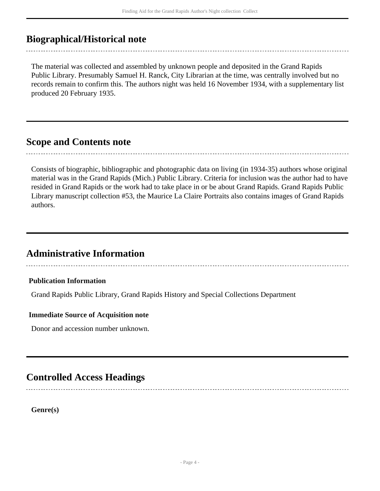## <span id="page-3-0"></span>**Biographical/Historical note**

The material was collected and assembled by unknown people and deposited in the Grand Rapids Public Library. Presumably Samuel H. Ranck, City Librarian at the time, was centrally involved but no records remain to confirm this. The authors night was held 16 November 1934, with a supplementary list produced 20 February 1935.

### <span id="page-3-1"></span>**Scope and Contents note**

Consists of biographic, bibliographic and photographic data on living (in 1934-35) authors whose original material was in the Grand Rapids (Mich.) Public Library. Criteria for inclusion was the author had to have resided in Grand Rapids or the work had to take place in or be about Grand Rapids. Grand Rapids Public Library manuscript collection #53, the Maurice La Claire Portraits also contains images of Grand Rapids authors.

### <span id="page-3-2"></span>**Administrative Information**

#### **Publication Information**

Grand Rapids Public Library, Grand Rapids History and Special Collections Department

#### **Immediate Source of Acquisition note**

Donor and accession number unknown.

## <span id="page-3-3"></span>**Controlled Access Headings**

**Genre(s)**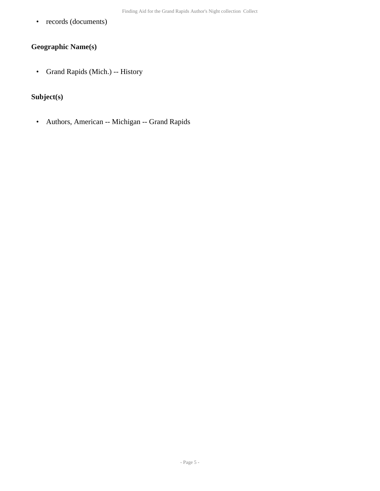• records (documents)

### **Geographic Name(s)**

• Grand Rapids (Mich.) -- History

### **Subject(s)**

• Authors, American -- Michigan -- Grand Rapids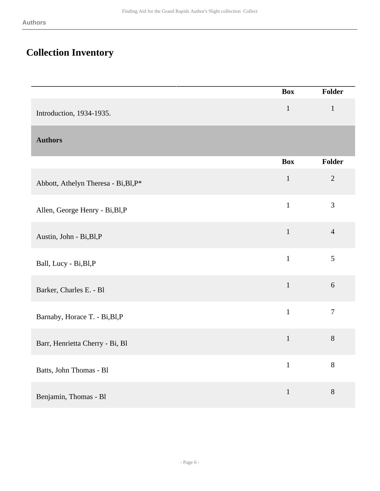## <span id="page-5-0"></span>**Collection Inventory**

<span id="page-5-1"></span>

|                                      | <b>Box</b>     | Folder         |
|--------------------------------------|----------------|----------------|
| Introduction, 1934-1935.             | $\mathbf{1}$   | $\mathbf{1}$   |
| <b>Authors</b>                       |                |                |
|                                      | <b>Box</b>     | Folder         |
| Abbott, Athelyn Theresa - Bi, Bl, P* | $\mathbf{1}$   | $\overline{2}$ |
| Allen, George Henry - Bi, Bl, P      | $\overline{1}$ | 3              |
| Austin, John - Bi, Bl, P             | $\,1$          | $\overline{4}$ |
| Ball, Lucy - Bi, Bl, P               | $\mathbf{1}$   | 5              |
| Barker, Charles E. - Bl              | $\mathbf{1}$   | $\sqrt{6}$     |
| Barnaby, Horace T. - Bi, Bl, P       | $\mathbf{1}$   | $\overline{7}$ |
| Barr, Henrietta Cherry - Bi, Bl      | $\mathbf{1}$   | 8              |
| Batts, John Thomas - Bl              | $\mathbf{1}$   | 8              |
| Benjamin, Thomas - Bl                | $\mathbf{1}$   | 8              |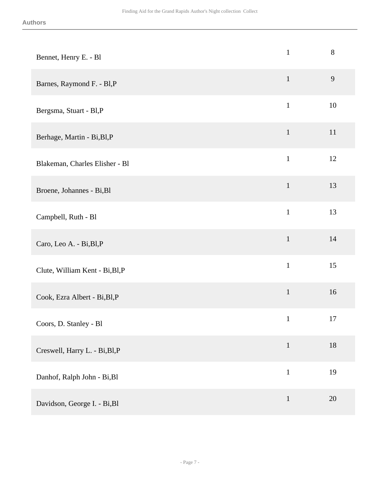| Bennet, Henry E. - Bl           | $\mathbf{1}$ | $8\,$ |
|---------------------------------|--------------|-------|
| Barnes, Raymond F. - Bl,P       | $\mathbf{1}$ | 9     |
| Bergsma, Stuart - Bl,P          | $\mathbf{1}$ | 10    |
| Berhage, Martin - Bi, Bl, P     | $\mathbf 1$  | 11    |
| Blakeman, Charles Elisher - Bl  | $\mathbf{1}$ | 12    |
| Broene, Johannes - Bi, Bl       | $\mathbf{1}$ | 13    |
| Campbell, Ruth - Bl             | $\mathbf{1}$ | 13    |
| Caro, Leo A. - Bi, Bl, P        | $\mathbf{1}$ | 14    |
| Clute, William Kent - Bi, Bl, P | $\mathbf{1}$ | 15    |
| Cook, Ezra Albert - Bi, Bl, P   | $\mathbf{1}$ | 16    |
| Coors, D. Stanley - Bl          | $\mathbf 1$  | 17    |
| Creswell, Harry L. - Bi, Bl, P  | $\mathbf{1}$ | 18    |
| Danhof, Ralph John - Bi, Bl     | $\mathbf{1}$ | 19    |
| Davidson, George I. - Bi, Bl    | $\mathbf{1}$ | 20    |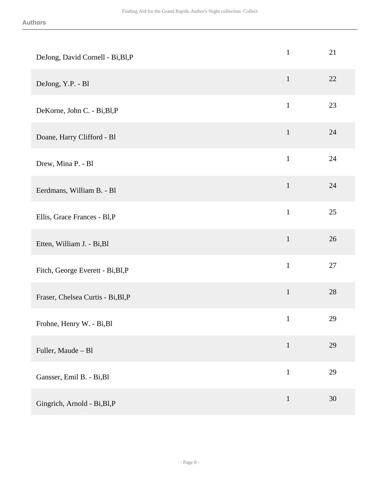| $\mathbf{1}$ | 21 |
|--------------|----|
| $\mathbf{1}$ | 22 |
| $\mathbf{1}$ | 23 |
| $\mathbf{1}$ | 24 |
| $\mathbf{1}$ | 24 |
| $\mathbf{1}$ | 24 |
| $\mathbf{1}$ | 25 |
| $\mathbf{1}$ | 26 |
| $\mathbf{1}$ | 27 |
| $\mathbf 1$  | 28 |
| $\,1$        | 29 |
| $\mathbf{1}$ | 29 |
| $\mathbf{1}$ | 29 |
| $\mathbf{1}$ | 30 |
|              |    |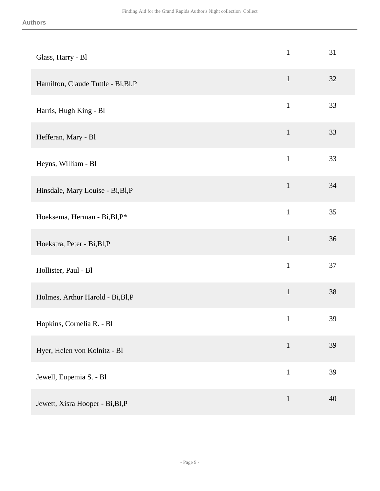| Glass, Harry - Bl                   | $\mathbf{1}$ | 31 |
|-------------------------------------|--------------|----|
| Hamilton, Claude Tuttle - Bi, Bl, P | $\mathbf{1}$ | 32 |
| Harris, Hugh King - Bl              | $\mathbf{1}$ | 33 |
| Hefferan, Mary - Bl                 | $\mathbf{1}$ | 33 |
| Heyns, William - Bl                 | $\mathbf{1}$ | 33 |
| Hinsdale, Mary Louise - Bi, Bl, P   | $\mathbf{1}$ | 34 |
| Hoeksema, Herman - Bi, Bl, P*       | $\mathbf{1}$ | 35 |
| Hoekstra, Peter - Bi, Bl, P         | $\mathbf{1}$ | 36 |
| Hollister, Paul - Bl                | $\mathbf{1}$ | 37 |
| Holmes, Arthur Harold - Bi, Bl, P   | $\mathbf 1$  | 38 |
| Hopkins, Cornelia R. - Bl           | $\mathbf 1$  | 39 |
| Hyer, Helen von Kolnitz - Bl        | $1\,$        | 39 |
| Jewell, Eupemia S. - Bl             | $\,1\,$      | 39 |
| Jewett, Xisra Hooper - Bi, Bl, P    | $1\,$        | 40 |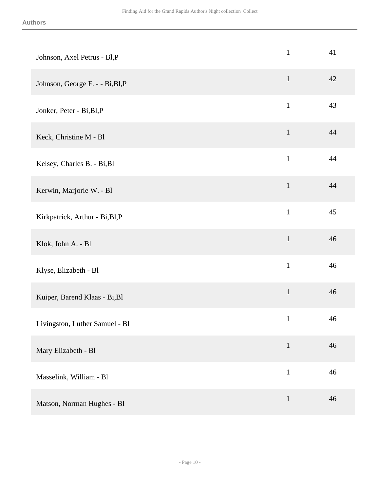| Johnson, Axel Petrus - Bl,P      | $\mathbf{1}$ | 41 |
|----------------------------------|--------------|----|
| Johnson, George F. - - Bi, Bl, P | $\mathbf{1}$ | 42 |
| Jonker, Peter - Bi, Bl, P        | $\mathbf{1}$ | 43 |
| Keck, Christine M - Bl           | $\mathbf{1}$ | 44 |
| Kelsey, Charles B. - Bi, Bl      | $\mathbf{1}$ | 44 |
| Kerwin, Marjorie W. - Bl         | $\mathbf{1}$ | 44 |
| Kirkpatrick, Arthur - Bi, Bl, P  | $\mathbf{1}$ | 45 |
| Klok, John A. - Bl               | $\mathbf 1$  | 46 |
| Klyse, Elizabeth - Bl            | $\mathbf 1$  | 46 |
| Kuiper, Barend Klaas - Bi, Bl    | $\mathbf 1$  | 46 |
| Livingston, Luther Samuel - Bl   | $\mathbf{1}$ | 46 |
| Mary Elizabeth - Bl              | $\mathbf{1}$ | 46 |
| Masselink, William - Bl          | $\,1$        | 46 |
| Matson, Norman Hughes - Bl       | $\mathbf{1}$ | 46 |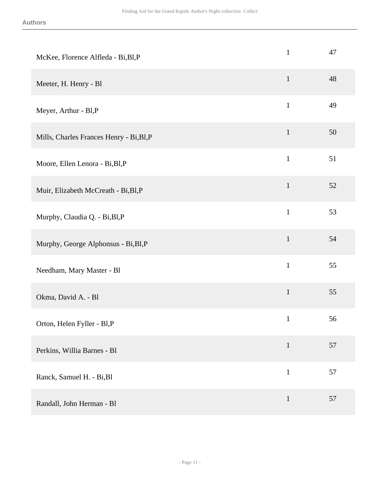| McKee, Florence Alfleda - Bi, Bl, P      | $\mathbf{1}$ | 47 |
|------------------------------------------|--------------|----|
| Meeter, H. Henry - Bl                    | $\mathbf{1}$ | 48 |
| Meyer, Arthur - Bl,P                     | $\mathbf{1}$ | 49 |
| Mills, Charles Frances Henry - Bi, Bl, P | $\mathbf 1$  | 50 |
| Moore, Ellen Lenora - Bi, Bl, P          | $\mathbf{1}$ | 51 |
| Muir, Elizabeth McCreath - Bi, Bl, P     | $\mathbf{1}$ | 52 |
| Murphy, Claudia Q. - Bi, Bl, P           | $\mathbf{1}$ | 53 |
| Murphy, George Alphonsus - Bi, Bl, P     | $\mathbf{1}$ | 54 |
| Needham, Mary Master - Bl                | $\mathbf{1}$ | 55 |
| Okma, David A. - Bl                      | $\mathbf 1$  | 55 |
| Orton, Helen Fyller - Bl,P               | $\mathbf{1}$ | 56 |
| Perkins, Willia Barnes - Bl              | $\mathbf{1}$ | 57 |
| Ranck, Samuel H. - Bi, Bl                | $\,1\,$      | 57 |
| Randall, John Herman - Bl                | $\mathbf{1}$ | 57 |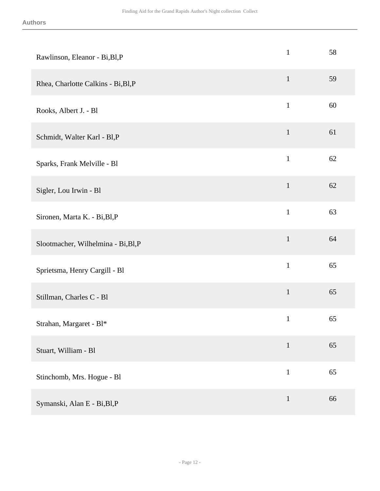| Rawlinson, Eleanor - Bi, Bl, P      | $\mathbf{1}$ | 58 |
|-------------------------------------|--------------|----|
| Rhea, Charlotte Calkins - Bi, Bl, P | $\mathbf{1}$ | 59 |
| Rooks, Albert J. - Bl               | $\mathbf{1}$ | 60 |
| Schmidt, Walter Karl - Bl,P         | $\mathbf{1}$ | 61 |
| Sparks, Frank Melville - Bl         | $\mathbf{1}$ | 62 |
| Sigler, Lou Irwin - Bl              | $\mathbf{1}$ | 62 |
| Sironen, Marta K. - Bi, Bl, P       | $\mathbf{1}$ | 63 |
| Slootmacher, Wilhelmina - Bi, Bl, P | $\mathbf{1}$ | 64 |
| Sprietsma, Henry Cargill - Bl       | $\mathbf{1}$ | 65 |
| Stillman, Charles C - Bl            | $\mathbf{1}$ | 65 |
| Strahan, Margaret - Bl*             | $\mathbf{1}$ | 65 |
| Stuart, William - Bl                | $\mathbf{1}$ | 65 |
| Stinchomb, Mrs. Hogue - Bl          | $\,1$        | 65 |
| Symanski, Alan E - Bi, Bl, P        | $\mathbf{1}$ | 66 |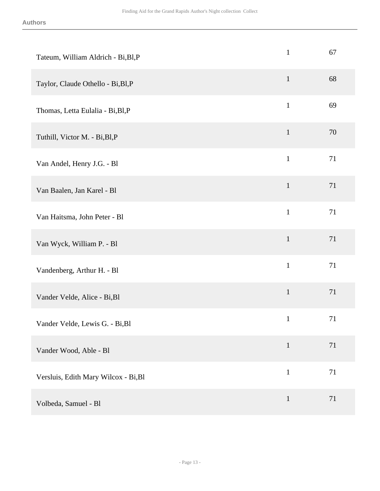| Tateum, William Aldrich - Bi, Bl, P  | $\mathbf{1}$ | 67 |
|--------------------------------------|--------------|----|
| Taylor, Claude Othello - Bi, Bl, P   | $\mathbf{1}$ | 68 |
| Thomas, Letta Eulalia - Bi, Bl, P    | $\mathbf{1}$ | 69 |
| Tuthill, Victor M. - Bi, Bl, P       | $1\,$        | 70 |
| Van Andel, Henry J.G. - Bl           | $\mathbf{1}$ | 71 |
| Van Baalen, Jan Karel - Bl           | $\mathbf{1}$ | 71 |
| Van Haitsma, John Peter - Bl         | $\mathbf{1}$ | 71 |
| Van Wyck, William P. - Bl            | $\mathbf{1}$ | 71 |
| Vandenberg, Arthur H. - Bl           | $\mathbf{1}$ | 71 |
| Vander Velde, Alice - Bi, Bl         | $\mathbf{1}$ | 71 |
| Vander Velde, Lewis G. - Bi, Bl      | $\mathbf{1}$ | 71 |
| Vander Wood, Able - Bl               | $\mathbf{1}$ | 71 |
| Versluis, Edith Mary Wilcox - Bi, Bl | $\mathbf{1}$ | 71 |
| Volbeda, Samuel - Bl                 | $\mathbf{1}$ | 71 |